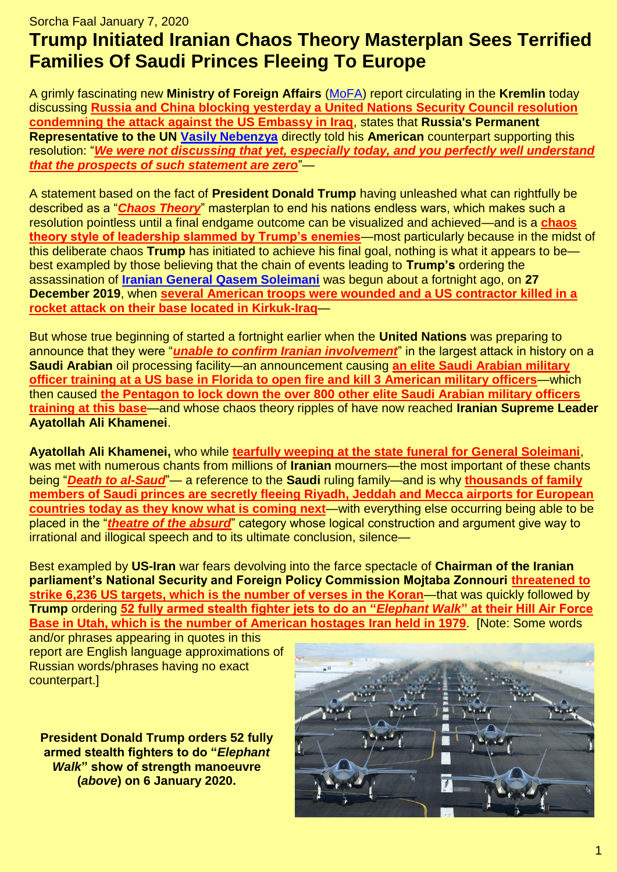## Sorcha Faal January 7, 2020 **Trump Initiated Iranian Chaos Theory Masterplan Sees Terrified Families Of Saudi Princes Fleeing To Europe**

A grimly fascinating new **Ministry of Foreign Affairs** [\(MoFA\)](http://government.ru/en/department/92/events/) report circulating in the **Kremlin** today discussing **[Russia and China blocking yesterday a United Nations Security Council resolution](https://tass.com/politics/1105959)  [condemning the attack against the US Embassy in Iraq](https://tass.com/politics/1105959)**, states that **Russia's Permanent Representative to the UN [Vasily Nebenzya](https://en.wikipedia.org/wiki/Vasily_Nebenzya)** directly told his **American** counterpart supporting this resolution: "*We were not discussing that [yet, especially today, and you perfectly well understand](https://tass.com/politics/1105959)  [that the prospects of such statement are zero](https://tass.com/politics/1105959)*"—

A statement based on the fact of **President Donald Trump** having unleashed what can rightfully be described as a "*[Chaos Theory](https://en.wikipedia.org/wiki/Chaos_theory)*" masterplan to end his nations endless wars, which makes such a resolution pointless until a final endgame outcome can be visualized and achieved—and is a **[chaos](https://www.nytimes.com/2018/03/01/us/politics/trump-chaos-oval-office.html)  [theory style of leadership slammed by Trump's enemies](https://www.nytimes.com/2018/03/01/us/politics/trump-chaos-oval-office.html)**—most particularly because in the midst of this deliberate chaos **Trump** has initiated to achieve his final goal, nothing is what it appears to be best exampled by those believing that the chain of events leading to **Trump's** ordering the assassination of **[Iranian General Qasem Soleimani](https://en.wikipedia.org/wiki/Qasem_Soleimani)** was begun about a fortnight ago, on **27 December 2019**, when **[several American troops were wounded and a US contractor killed in a](https://www.militarytimes.com/flashpoints/2019/12/28/several-american-troops-wounded-and-a-us-contractor-killed-in-rocket-attack-on-kirkuk-base/)  [rocket attack on their base located in Kirkuk-Iraq](https://www.militarytimes.com/flashpoints/2019/12/28/several-american-troops-wounded-and-a-us-contractor-killed-in-rocket-attack-on-kirkuk-base/)**—

But whose true beginning of started a fortnight earlier when the **United Nations** was preparing to announce that they were "*[unable to confirm Iranian involvement](https://www.bbc.com/news/world-middle-east-50742224)*" in the largest attack in history on a **Saudi Arabian** oil processing facility—an announcement causing **[an elite Saudi Arabian military](https://apnews.com/3206b3f41ae2ccf4b1c6ad0ba9b3185e)  [officer training at a US base in Florida to open fire and kill 3 American military officers](https://apnews.com/3206b3f41ae2ccf4b1c6ad0ba9b3185e)**—which then caused **[the Pentagon to lock down the over 800 other elite Saudi Arabian military officers](https://www.nytimes.com/2019/12/10/us/pensacola-florida-shooting-saudi-students.html)  [training at this base](https://www.nytimes.com/2019/12/10/us/pensacola-florida-shooting-saudi-students.html)**—and whose chaos theory ripples of have now reached **Iranian Supreme Leader Ayatollah Ali Khamenei**.

**Ayatollah Ali Khamenei,** who while **[tearfully weeping at the state funeral for General Soleimani](https://www.breitbart.com/middle-east/2020/01/06/watch-iran-mourns-qasem-soleimani-as-tears-threats-and-death-to-america-chants-flow/)**, was met with numerous chants from millions of **Iranian** mourners—the most important of these chants being "*[Death to al-Saud](https://www.breitbart.com/middle-east/2020/01/06/watch-iran-mourns-qasem-soleimani-as-tears-threats-and-death-to-america-chants-flow/)*"— a reference to the **Saudi** ruling family—and is why **[thousands of family](https://en.farsnews.com/newstext.aspx?nn=13981017000393)  [members of Saudi princes are secretly fleeing Riyadh, Jeddah and Mecca airports for European](https://en.farsnews.com/newstext.aspx?nn=13981017000393)  [countries today as they know what is coming next](https://en.farsnews.com/newstext.aspx?nn=13981017000393)**—with everything else occurring being able to be placed in the "*[theatre of the absurd](https://en.wikipedia.org/wiki/Theatre_of_the_Absurd)*" category whose logical construction and argument give way to irrational and illogical speech and to its ultimate conclusion, silence—

Best exampled by **US-Iran** war fears devolving into the farce spectacle of **Chairman of the Iranian parliament's National Security and Foreign Policy Commission Mojtaba Zonnouri [threatened to](https://www.thegatewaypundit.com/2020/01/more-threats-iranian-parliament-chairman-threatens-6236-us-targets-the-same-number-as-verses-in-the-koran/)  [strike 6,236 US targets, which is the number of verses in the Koran](https://www.thegatewaypundit.com/2020/01/more-threats-iranian-parliament-chairman-threatens-6236-us-targets-the-same-number-as-verses-in-the-koran/)**—that was quickly followed by **Trump** ordering **[52 fully armed stealth fighter jets to do an "](https://www.zerohedge.com/geopolitical/52-stealth-fighter-jets-elephant-walk-show-force-amid-threats-war)***Elephant Walk***" at their Hill Air Force [Base in Utah, which is the number of American hostages](https://www.zerohedge.com/geopolitical/52-stealth-fighter-jets-elephant-walk-show-force-amid-threats-war) Iran held in 1979**. [Note: Some words

and/or phrases appearing in quotes in this report are English language approximations of Russian words/phrases having no exact counterpart.]

**President Donald Trump orders 52 fully armed stealth fighters to do "***Elephant Walk***" show of strength manoeuvre (***above***) on 6 January 2020.** 

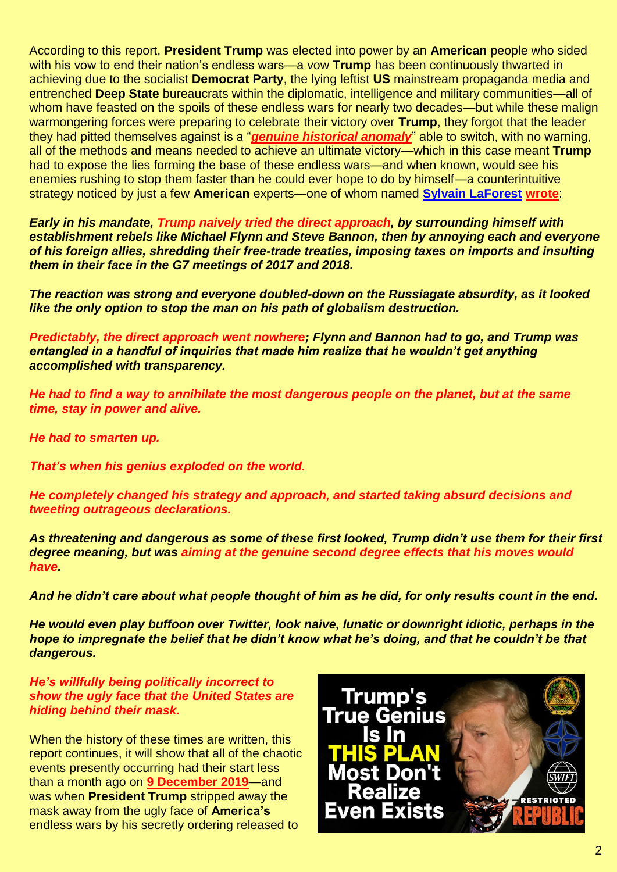According to this report, **President Trump** was elected into power by an **American** people who sided with his vow to end their nation's endless wars—a vow **Trump** has been continuously thwarted in achieving due to the socialist **Democrat Party**, the lying leftist **US** mainstream propaganda media and entrenched **Deep State** bureaucrats within the diplomatic, intelligence and military communities—all of whom have feasted on the spoils of these endless wars for nearly two decades—but while these malign warmongering forces were preparing to celebrate their victory over **Trump**, they forgot that the leader they had pitted themselves against is a "*[genuine historical anomaly](https://www.zerohedge.com/political/everything-you-need-know-about-trump-were-afraid-admit-you-wondered)*" able to switch, with no warning, all of the methods and means needed to achieve an ultimate victory—which in this case meant **Trump** had to expose the lies forming the base of these endless wars—and when known, would see his enemies rushing to stop them faster than he could ever hope to do by himself—a counterintuitive strategy noticed by just a few **American** experts—one of whom named **[Sylvain LaForest](https://www.globalresearch.ca/author/sylvain-laforest) [wrote](https://www.zerohedge.com/political/everything-you-need-know-about-trump-were-afraid-admit-you-wondered)**:

*Early in his mandate, Trump naively tried the direct approach, by surrounding himself with establishment rebels like Michael Flynn and Steve Bannon, then by annoying each and everyone of his foreign allies, shredding their free-trade treaties, imposing taxes on imports and insulting them in their face in the G7 meetings of 2017 and 2018.* 

*The reaction was strong and everyone doubled-down on the Russiagate absurdity, as it looked like the only option to stop the man on his path of globalism destruction.* 

*Predictably, the direct approach went nowhere; Flynn and Bannon had to go, and Trump was entangled in a handful of inquiries that made him realize that he wouldn't get anything accomplished with transparency.* 

*He had to find a way to annihilate the most dangerous people on the planet, but at the same time, stay in power and alive.* 

*He had to smarten up.*

*That's when his genius exploded on the world.* 

*He completely changed his strategy and approach, and started taking absurd decisions and tweeting outrageous declarations.* 

*As threatening and dangerous as some of these first looked, Trump didn't use them for their first degree meaning, but was aiming at the genuine second degree effects that his moves would have.* 

*And he didn't care about what people thought of him as he did, for only results count in the end.* 

*He would even play buffoon over Twitter, look naive, lunatic or downright idiotic, perhaps in the hope to impregnate the belief that he didn't know what he's doing, and that he couldn't be that dangerous.* 

*He's willfully being politically incorrect to show the ugly face that the United States are hiding behind their mask.*

When the history of these times are written, this report continues, it will show that all of the chaotic events presently occurring had their start less than a month ago on **[9 December 2019](https://www.washingtonpost.com/graphics/2019/investigations/afghanistan-papers/afghanistan-war-confidential-documents/)**—and was when **President Trump** stripped away the mask away from the ugly face of **America's**  endless wars by his secretly ordering released to